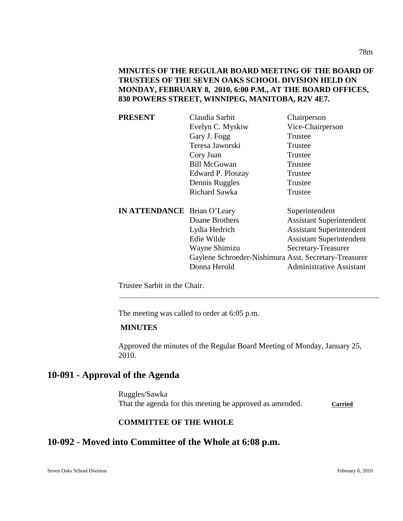**MINUTES OF THE REGULAR BOARD MEETING OF THE BOARD OF TRUSTEES OF THE SEVEN OAKS SCHOOL DIVISION HELD ON MONDAY, FEBRUARY 8, 2010, 6:00 P.M., AT THE BOARD OFFICES, 830 POWERS STREET, WINNIPEG, MANITOBA, R2V 4E7.**

| <b>PRESENT</b>                     | Claudia Sarbit                                        | Chairperson                     |
|------------------------------------|-------------------------------------------------------|---------------------------------|
|                                    | Evelyn C. Myskiw                                      | Vice-Chairperson                |
|                                    | Gary J. Fogg                                          | Trustee                         |
|                                    | Teresa Jaworski                                       | Trustee                         |
|                                    | Cory Juan                                             | Trustee                         |
|                                    | <b>Bill McGowan</b>                                   | Trustee                         |
|                                    | Edward P. Ploszay                                     | Trustee                         |
|                                    | Dennis Ruggles                                        | Trustee                         |
|                                    | <b>Richard Sawka</b>                                  | Trustee                         |
| <b>IN ATTENDANCE</b> Brian O'Leary |                                                       | Superintendent                  |
|                                    | Duane Brothers                                        | <b>Assistant Superintendent</b> |
|                                    | Lydia Hedrich                                         | <b>Assistant Superintendent</b> |
|                                    | Edie Wilde                                            | <b>Assistant Superintendent</b> |
|                                    | Wayne Shimizu                                         | Secretary-Treasurer             |
|                                    | Gaylene Schroeder-Nishimura Asst. Secretary-Treasurer |                                 |
|                                    | Donna Herold                                          | <b>Administrative Assistant</b> |
|                                    |                                                       |                                 |

Trustee Sarbit in the Chair.

The meeting was called to order at 6:05 p.m.

## **MINUTES**

Approved the minutes of the Regular Board Meeting of Monday, January 25, 2010.

## **10-091 - Approval of the Agenda**

Ruggles/Sawka That the agenda for this meeting be approved as amended. Carried

#### **COMMITTEE OF THE WHOLE**

## **10-092 - Moved into Committee of the Whole at 6:08 p.m.**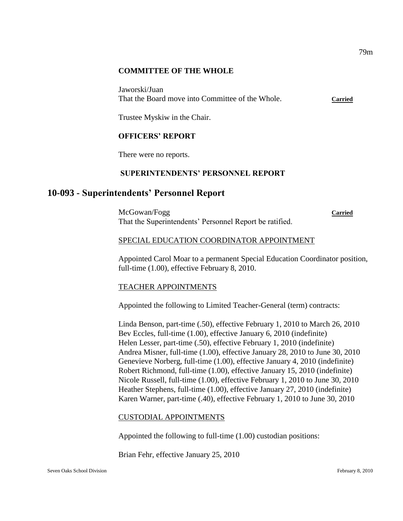#### **COMMITTEE OF THE WHOLE**

Jaworski/Juan That the Board move into Committee of the Whole. **Carried**

Trustee Myskiw in the Chair.

## **OFFICERS' REPORT**

There were no reports.

### **SUPERINTENDENTS' PERSONNEL REPORT**

## **10-093 - Superintendents' Personnel Report**

McGowan/Fogg **Carried** That the Superintendents' Personnel Report be ratified.

#### SPECIAL EDUCATION COORDINATOR APPOINTMENT

Appointed Carol Moar to a permanent Special Education Coordinator position, full-time (1.00), effective February 8, 2010.

### TEACHER APPOINTMENTS

Appointed the following to Limited Teacher-General (term) contracts:

Linda Benson, part-time (.50), effective February 1, 2010 to March 26, 2010 Bev Eccles, full-time (1.00), effective January 6, 2010 (indefinite) Helen Lesser, part-time (.50), effective February 1, 2010 (indefinite) Andrea Misner, full-time (1.00), effective January 28, 2010 to June 30, 2010 Genevieve Norberg, full-time (1.00), effective January 4, 2010 (indefinite) Robert Richmond, full-time (1.00), effective January 15, 2010 (indefinite) Nicole Russell, full-time (1.00), effective February 1, 2010 to June 30, 2010 Heather Stephens, full-time (1.00), effective January 27, 2010 (indefinite) Karen Warner, part-time (.40), effective February 1, 2010 to June 30, 2010

### CUSTODIAL APPOINTMENTS

Appointed the following to full-time (1.00) custodian positions:

Brian Fehr, effective January 25, 2010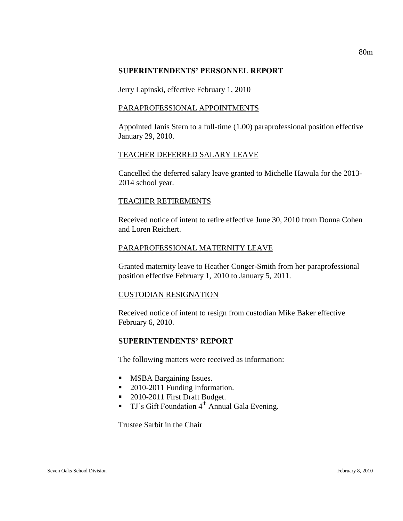#### **SUPERINTENDENTS' PERSONNEL REPORT**

Jerry Lapinski, effective February 1, 2010

#### PARAPROFESSIONAL APPOINTMENTS

Appointed Janis Stern to a full-time (1.00) paraprofessional position effective January 29, 2010.

#### TEACHER DEFERRED SALARY LEAVE

Cancelled the deferred salary leave granted to Michelle Hawula for the 2013- 2014 school year.

### TEACHER RETIREMENTS

Received notice of intent to retire effective June 30, 2010 from Donna Cohen and Loren Reichert.

#### PARAPROFESSIONAL MATERNITY LEAVE

Granted maternity leave to Heather Conger-Smith from her paraprofessional position effective February 1, 2010 to January 5, 2011.

### CUSTODIAN RESIGNATION

Received notice of intent to resign from custodian Mike Baker effective February 6, 2010.

### **SUPERINTENDENTS' REPORT**

The following matters were received as information:

- **MSBA Bargaining Issues.**
- 2010-2011 Funding Information.
- 2010-2011 First Draft Budget.
- **TJ's Gift Foundation 4<sup>th</sup> Annual Gala Evening.**

Trustee Sarbit in the Chair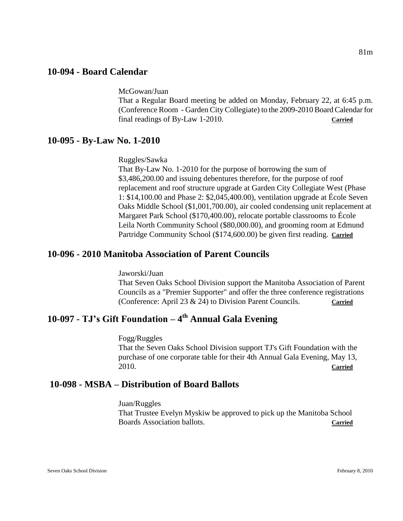## **10-094 - Board Calendar**

McGowan/Juan

That a Regular Board meeting be added on Monday, February 22, at 6:45 p.m. (Conference Room - Garden City Collegiate) to the 2009-2010 Board Calendar for final readings of By-Law 1-2010. **Carried**

## **10-095 - By-Law No. 1-2010**

Ruggles/Sawka

That By-Law No. 1-2010 for the purpose of borrowing the sum of \$3,486,200.00 and issuing debentures therefore, for the purpose of roof replacement and roof structure upgrade at Garden City Collegiate West (Phase 1: \$14,100.00 and Phase 2: \$2,045,400.00), ventilation upgrade at École Seven Oaks Middle School (\$1,001,700.00), air cooled condensing unit replacement at Margaret Park School (\$170,400.00), relocate portable classrooms to École Leila North Community School (\$80,000.00), and grooming room at Edmund Partridge Community School (\$174,600.00) be given first reading. **Carried**

## **10-096 - 2010 Manitoba Association of Parent Councils**

Jaworski/Juan That Seven Oaks School Division support the Manitoba Association of Parent Councils as a "Premier Supporter" and offer the three conference registrations (Conference: April 23 & 24) to Division Parent Councils. **Carried**

# **10-097 - TJ's Gift Foundation – 4 th Annual Gala Evening**

Fogg/Ruggles That the Seven Oaks School Division support TJ's Gift Foundation with the purchase of one corporate table for their 4th Annual Gala Evening, May 13, 2010. **Carried**

## **10-098 - MSBA – Distribution of Board Ballots**

Juan/Ruggles That Trustee Evelyn Myskiw be approved to pick up the Manitoba School Boards Association ballots. **Carried**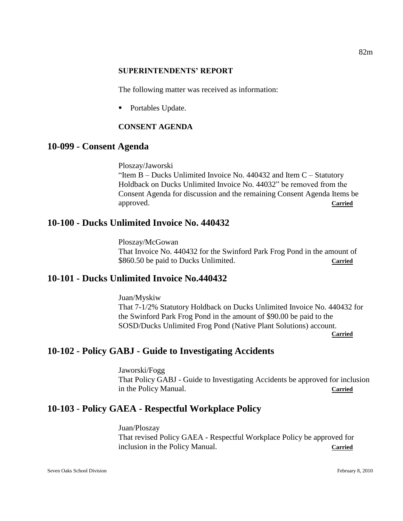#### **SUPERINTENDENTS' REPORT**

The following matter was received as information:

• Portables Update.

## **CONSENT AGENDA**

## **10-099 - Consent Agenda**

Ploszay/Jaworski

"Item  $B$  – Ducks Unlimited Invoice No. 440432 and Item  $C$  – Statutory Holdback on Ducks Unlimited Invoice No. 44032" be removed from the Consent Agenda for discussion and the remaining Consent Agenda Items be approved. **Carried**

## **10-100 - Ducks Unlimited Invoice No. 440432**

Ploszay/McGowan That Invoice No. 440432 for the Swinford Park Frog Pond in the amount of \$860.50 be paid to Ducks Unlimited. **Carried**

## **10-101 - Ducks Unlimited Invoice No.440432**

Juan/Myskiw That 7-1/2% Statutory Holdback on Ducks Unlimited Invoice No. 440432 for the Swinford Park Frog Pond in the amount of \$90.00 be paid to the SOSD/Ducks Unlimited Frog Pond (Native Plant Solutions) account.

**Carried**

## **10-102 - Policy GABJ - Guide to Investigating Accidents**

Jaworski/Fogg That Policy GABJ - Guide to Investigating Accidents be approved for inclusion in the Policy Manual. **Carried**

## **10-103** - **Policy GAEA - Respectful Workplace Policy**

Juan/Ploszay That revised Policy GAEA - Respectful Workplace Policy be approved for inclusion in the Policy Manual. **Carried**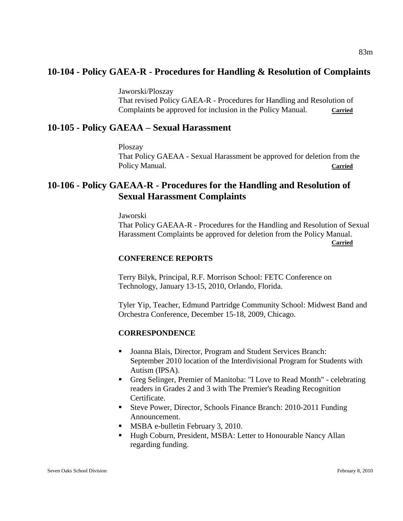## **10-104 - Policy GAEA-R - Procedures for Handling & Resolution of Complaints**

Jaworski/Ploszay

That revised Policy GAEA-R - Procedures for Handling and Resolution of Complaints be approved for inclusion in the Policy Manual. Carried

## **10-105 - Policy GAEAA – Sexual Harassment**

Ploszay That Policy GAEAA - Sexual Harassment be approved for deletion from the Policy Manual. **Carried** 

## **10-106 - Policy GAEAA-R - Procedures for the Handling and Resolution of Sexual Harassment Complaints**

Jaworski

That Policy GAEAA-R - Procedures for the Handling and Resolution of Sexual Harassment Complaints be approved for deletion from the Policy Manual.

**Carried**

#### **CONFERENCE REPORTS**

Terry Bilyk, Principal, R.F. Morrison School: FETC Conference on Technology, January 13-15, 2010, Orlando, Florida.

Tyler Yip, Teacher, Edmund Partridge Community School: Midwest Band and Orchestra Conference, December 15-18, 2009, Chicago.

### **CORRESPONDENCE**

- Joanna Blais, Director, Program and Student Services Branch: September 2010 location of the Interdivisional Program for Students with Autism (IPSA).
- Greg Selinger, Premier of Manitoba: "I Love to Read Month" celebrating readers in Grades 2 and 3 with The Premier's Reading Recognition Certificate.
- Steve Power, Director, Schools Finance Branch: 2010-2011 Funding Announcement.
- **MSBA e-bulletin February 3, 2010.**
- Hugh Coburn, President, MSBA: Letter to Honourable Nancy Allan regarding funding.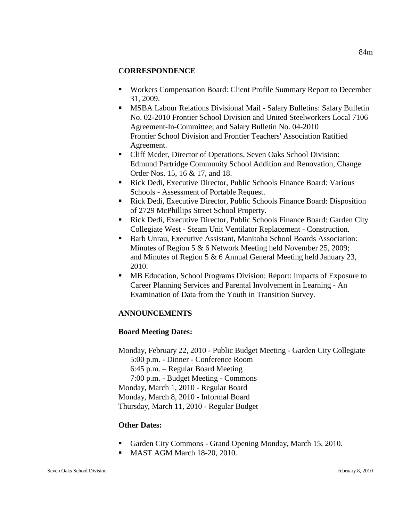### **CORRESPONDENCE**

- Workers Compensation Board: Client Profile Summary Report to December 31, 2009.
- MSBA Labour Relations Divisional Mail Salary Bulletins: Salary Bulletin No. 02-2010 Frontier School Division and United Steelworkers Local 7106 Agreement-In-Committee; and Salary Bulletin No. 04-2010 Frontier School Division and Frontier Teachers' Association Ratified Agreement.
- Cliff Meder, Director of Operations, Seven Oaks School Division: Edmund Partridge Community School Addition and Renovation, Change Order Nos. 15, 16 & 17, and 18.
- Rick Dedi, Executive Director, Public Schools Finance Board: Various Schools - Assessment of Portable Request.
- Rick Dedi, Executive Director, Public Schools Finance Board: Disposition of 2729 McPhillips Street School Property.
- Rick Dedi, Executive Director, Public Schools Finance Board: Garden City Collegiate West - Steam Unit Ventilator Replacement - Construction.
- Barb Unrau, Executive Assistant, Manitoba School Boards Association: Minutes of Region 5 & 6 Network Meeting held November 25, 2009; and Minutes of Region 5 & 6 Annual General Meeting held January 23, 2010.
- MB Education, School Programs Division: Report: Impacts of Exposure to Career Planning Services and Parental Involvement in Learning - An Examination of Data from the Youth in Transition Survey.

## **ANNOUNCEMENTS**

### **Board Meeting Dates:**

Monday, February 22, 2010 - Public Budget Meeting - Garden City Collegiate 5:00 p.m. - Dinner - Conference Room 6:45 p.m. – Regular Board Meeting 7:00 p.m. - Budget Meeting - Commons Monday, March 1, 2010 - Regular Board Monday, March 8, 2010 - Informal Board Thursday, March 11, 2010 - Regular Budget

### **Other Dates:**

- Garden City Commons Grand Opening Monday, March 15, 2010.
- MAST AGM March 18-20, 2010.